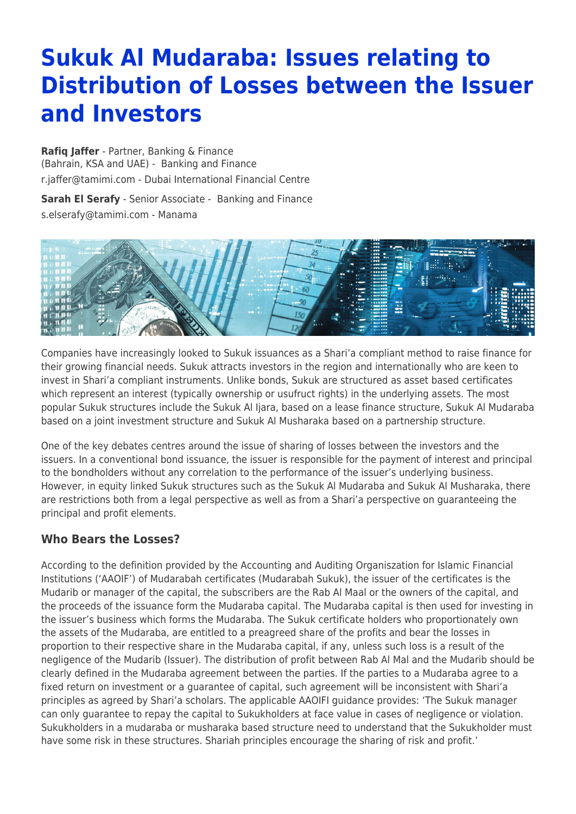# **Sukuk Al Mudaraba: Issues relating to Distribution of Losses between the Issuer and Investors**

**[Rafiq Jaffer](https://www.tamimi.com/find-a-lawyer/rafiq-jaffer/)** - Partner, Banking & Finance (Bahrain, KSA and UAE) - [Banking and Finance](https://www.tamimi.com/client-services/practices/banking-finance/) [r.jaffer@tamimi.com](mailto:r.jaffer@tamimi.com) - [Dubai International Financial Centre](https://www.tamimi.com/locations/uae/)

**[Sarah El Serafy](https://www.tamimi.com/find-a-lawyer/sarah-el-serafy/)** - Senior Associate - [Banking and Finance](https://www.tamimi.com/client-services/practices/banking-finance/)

[s.elserafy@tamimi.com](mailto:s.elserafy@tamimi.com) - [Manama](https://www.tamimi.com/locations/bahrain/)



Companies have increasingly looked to Sukuk issuances as a Shari'a compliant method to raise finance for their growing financial needs. Sukuk attracts investors in the region and internationally who are keen to invest in Shari'a compliant instruments. Unlike bonds, Sukuk are structured as asset based certificates which represent an interest (typically ownership or usufruct rights) in the underlying assets. The most popular Sukuk structures include the Sukuk Al Ijara, based on a lease finance structure, Sukuk Al Mudaraba based on a joint investment structure and Sukuk Al Musharaka based on a partnership structure.

One of the key debates centres around the issue of sharing of losses between the investors and the issuers. In a conventional bond issuance, the issuer is responsible for the payment of interest and principal to the bondholders without any correlation to the performance of the issuer's underlying business. However, in equity linked Sukuk structures such as the Sukuk Al Mudaraba and Sukuk Al Musharaka, there are restrictions both from a legal perspective as well as from a Shari'a perspective on guaranteeing the principal and profit elements.

## **Who Bears the Losses?**

According to the definition provided by the Accounting and Auditing Organiszation for Islamic Financial Institutions ('AAOIF') of Mudarabah certificates (Mudarabah Sukuk), the issuer of the certificates is the Mudarib or manager of the capital, the subscribers are the Rab Al Maal or the owners of the capital, and the proceeds of the issuance form the Mudaraba capital. The Mudaraba capital is then used for investing in the issuer's business which forms the Mudaraba. The Sukuk certificate holders who proportionately own the assets of the Mudaraba, are entitled to a preagreed share of the profits and bear the losses in proportion to their respective share in the Mudaraba capital, if any, unless such loss is a result of the negligence of the Mudarib (Issuer). The distribution of profit between Rab Al Mal and the Mudarib should be clearly defined in the Mudaraba agreement between the parties. If the parties to a Mudaraba agree to a fixed return on investment or a guarantee of capital, such agreement will be inconsistent with Shari'a principles as agreed by Shari'a scholars. The applicable AAOIFI guidance provides: 'The Sukuk manager can only guarantee to repay the capital to Sukukholders at face value in cases of negligence or violation. Sukukholders in a mudaraba or musharaka based structure need to understand that the Sukukholder must have some risk in these structures. Shariah principles encourage the sharing of risk and profit.'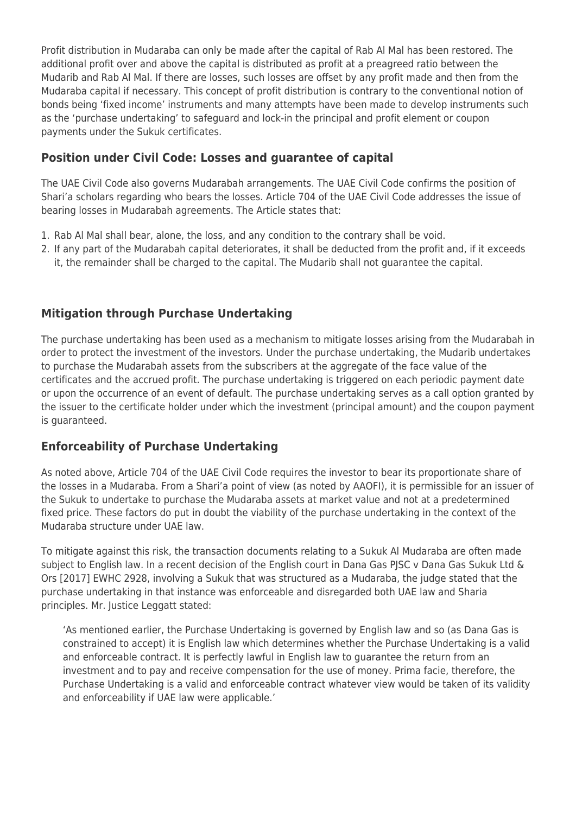Profit distribution in Mudaraba can only be made after the capital of Rab Al Mal has been restored. The additional profit over and above the capital is distributed as profit at a preagreed ratio between the Mudarib and Rab Al Mal. If there are losses, such losses are offset by any profit made and then from the Mudaraba capital if necessary. This concept of profit distribution is contrary to the conventional notion of bonds being 'fixed income' instruments and many attempts have been made to develop instruments such as the 'purchase undertaking' to safeguard and lock-in the principal and profit element or coupon payments under the Sukuk certificates.

## **Position under Civil Code: Losses and guarantee of capital**

The UAE Civil Code also governs Mudarabah arrangements. The UAE Civil Code confirms the position of Shari'a scholars regarding who bears the losses. Article 704 of the UAE Civil Code addresses the issue of bearing losses in Mudarabah agreements. The Article states that:

- 1. Rab Al Mal shall bear, alone, the loss, and any condition to the contrary shall be void.
- 2. If any part of the Mudarabah capital deteriorates, it shall be deducted from the profit and, if it exceeds it, the remainder shall be charged to the capital. The Mudarib shall not guarantee the capital.

## **Mitigation through Purchase Undertaking**

The purchase undertaking has been used as a mechanism to mitigate losses arising from the Mudarabah in order to protect the investment of the investors. Under the purchase undertaking, the Mudarib undertakes to purchase the Mudarabah assets from the subscribers at the aggregate of the face value of the certificates and the accrued profit. The purchase undertaking is triggered on each periodic payment date or upon the occurrence of an event of default. The purchase undertaking serves as a call option granted by the issuer to the certificate holder under which the investment (principal amount) and the coupon payment is quaranteed.

## **Enforceability of Purchase Undertaking**

As noted above, Article 704 of the UAE Civil Code requires the investor to bear its proportionate share of the losses in a Mudaraba. From a Shari'a point of view (as noted by AAOFI), it is permissible for an issuer of the Sukuk to undertake to purchase the Mudaraba assets at market value and not at a predetermined fixed price. These factors do put in doubt the viability of the purchase undertaking in the context of the Mudaraba structure under UAE law.

To mitigate against this risk, the transaction documents relating to a Sukuk Al Mudaraba are often made subject to English law. In a recent decision of the English court in Dana Gas PJSC v Dana Gas Sukuk Ltd & Ors [2017] EWHC 2928, involving a Sukuk that was structured as a Mudaraba, the judge stated that the purchase undertaking in that instance was enforceable and disregarded both UAE law and Sharia principles. Mr. Justice Leggatt stated:

'As mentioned earlier, the Purchase Undertaking is governed by English law and so (as Dana Gas is constrained to accept) it is English law which determines whether the Purchase Undertaking is a valid and enforceable contract. It is perfectly lawful in English law to guarantee the return from an investment and to pay and receive compensation for the use of money. Prima facie, therefore, the Purchase Undertaking is a valid and enforceable contract whatever view would be taken of its validity and enforceability if UAE law were applicable.'